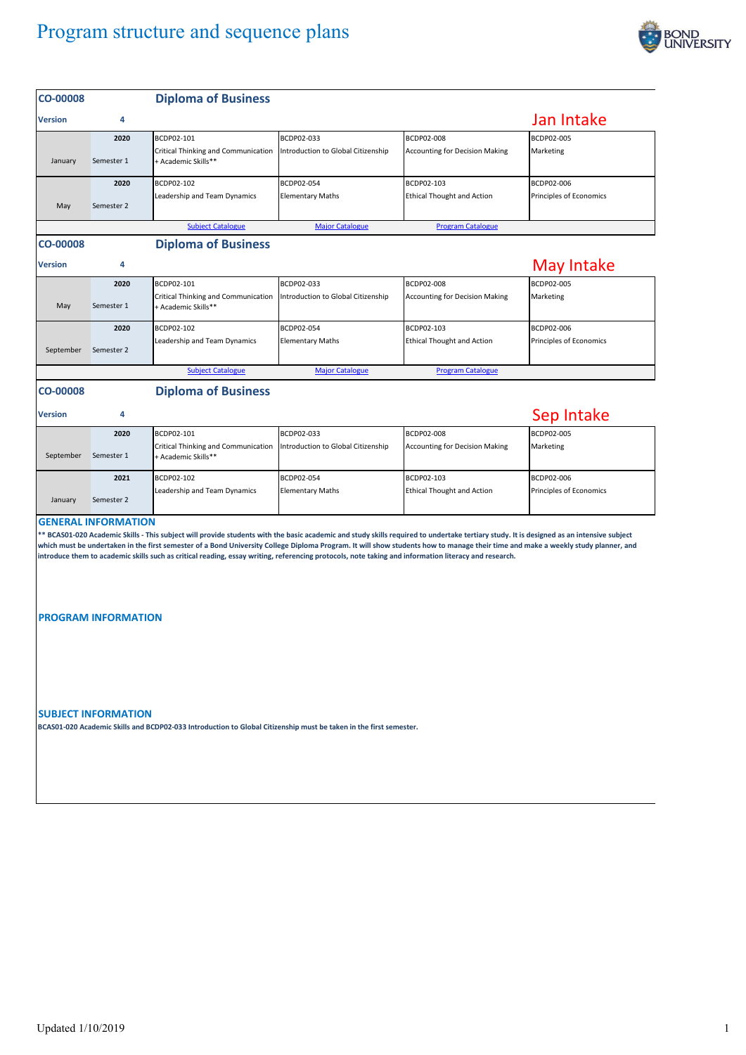

| <b>CO-00008</b>                                                                                                                                                                                                                                                                                                                                                                                                                                                                                                                                                    |                            | <b>Diploma of Business</b>                                               |                                                  |                                                     |                                       |  |  |  |
|--------------------------------------------------------------------------------------------------------------------------------------------------------------------------------------------------------------------------------------------------------------------------------------------------------------------------------------------------------------------------------------------------------------------------------------------------------------------------------------------------------------------------------------------------------------------|----------------------------|--------------------------------------------------------------------------|--------------------------------------------------|-----------------------------------------------------|---------------------------------------|--|--|--|
| <b>Version</b>                                                                                                                                                                                                                                                                                                                                                                                                                                                                                                                                                     | 4                          |                                                                          |                                                  |                                                     | Jan Intake                            |  |  |  |
| January                                                                                                                                                                                                                                                                                                                                                                                                                                                                                                                                                            | 2020<br>Semester 1         | BCDP02-101<br>Critical Thinking and Communication<br>+ Academic Skills** | BCDP02-033<br>Introduction to Global Citizenship | BCDP02-008<br><b>Accounting for Decision Making</b> | BCDP02-005<br>Marketing               |  |  |  |
| May                                                                                                                                                                                                                                                                                                                                                                                                                                                                                                                                                                | 2020<br>Semester 2         | BCDP02-102<br>Leadership and Team Dynamics                               | BCDP02-054<br><b>Elementary Maths</b>            | BCDP02-103<br><b>Ethical Thought and Action</b>     | BCDP02-006<br>Principles of Economics |  |  |  |
|                                                                                                                                                                                                                                                                                                                                                                                                                                                                                                                                                                    |                            | <b>Subject Catalogue</b>                                                 | <b>Major Catalogue</b>                           | <b>Program Catalogue</b>                            |                                       |  |  |  |
| <b>CO-00008</b>                                                                                                                                                                                                                                                                                                                                                                                                                                                                                                                                                    |                            | <b>Diploma of Business</b>                                               |                                                  |                                                     |                                       |  |  |  |
| <b>Version</b>                                                                                                                                                                                                                                                                                                                                                                                                                                                                                                                                                     | 4                          |                                                                          |                                                  |                                                     | May Intake                            |  |  |  |
| May                                                                                                                                                                                                                                                                                                                                                                                                                                                                                                                                                                | 2020<br>Semester 1         | BCDP02-101<br>Critical Thinking and Communication<br>+ Academic Skills** | BCDP02-033<br>Introduction to Global Citizenship | BCDP02-008<br><b>Accounting for Decision Making</b> | BCDP02-005<br>Marketing               |  |  |  |
| September                                                                                                                                                                                                                                                                                                                                                                                                                                                                                                                                                          | 2020<br>Semester 2         | BCDP02-102<br>Leadership and Team Dynamics                               | BCDP02-054<br><b>Elementary Maths</b>            | BCDP02-103<br><b>Ethical Thought and Action</b>     | BCDP02-006<br>Principles of Economics |  |  |  |
|                                                                                                                                                                                                                                                                                                                                                                                                                                                                                                                                                                    |                            | <b>Subject Catalogue</b>                                                 | <b>Major Catalogue</b>                           | <b>Program Catalogue</b>                            |                                       |  |  |  |
| <b>CO-00008</b><br><b>Version</b>                                                                                                                                                                                                                                                                                                                                                                                                                                                                                                                                  | 4                          | <b>Diploma of Business</b>                                               |                                                  |                                                     | Sep Intake                            |  |  |  |
| September                                                                                                                                                                                                                                                                                                                                                                                                                                                                                                                                                          | 2020<br>Semester 1         | BCDP02-101<br>Critical Thinking and Communication<br>+ Academic Skills** | BCDP02-033<br>Introduction to Global Citizenship | BCDP02-008<br><b>Accounting for Decision Making</b> | BCDP02-005<br>Marketing               |  |  |  |
| January                                                                                                                                                                                                                                                                                                                                                                                                                                                                                                                                                            | 2021<br>Semester 2         | BCDP02-102<br>Leadership and Team Dynamics                               | BCDP02-054<br><b>Elementary Maths</b>            | BCDP02-103<br><b>Ethical Thought and Action</b>     | BCDP02-006<br>Principles of Economics |  |  |  |
| <b>GENERAL INFORMATION</b><br>** BCAS01-020 Academic Skills - This subject will provide students with the basic academic and study skills required to undertake tertiary study. It is designed as an intensive subject<br>which must be undertaken in the first semester of a Bond University College Diploma Program. It will show students how to manage their time and make a weekly study planner, and<br>introduce them to academic skills such as critical reading, essay writing, referencing protocols, note taking and information literacy and research. |                            |                                                                          |                                                  |                                                     |                                       |  |  |  |
|                                                                                                                                                                                                                                                                                                                                                                                                                                                                                                                                                                    | <b>PROGRAM INFORMATION</b> |                                                                          |                                                  |                                                     |                                       |  |  |  |
| <b>SUBJECT INFORMATION</b><br>BCAS01-020 Academic Skills and BCDP02-033 Introduction to Global Citizenship must be taken in the first semester.                                                                                                                                                                                                                                                                                                                                                                                                                    |                            |                                                                          |                                                  |                                                     |                                       |  |  |  |